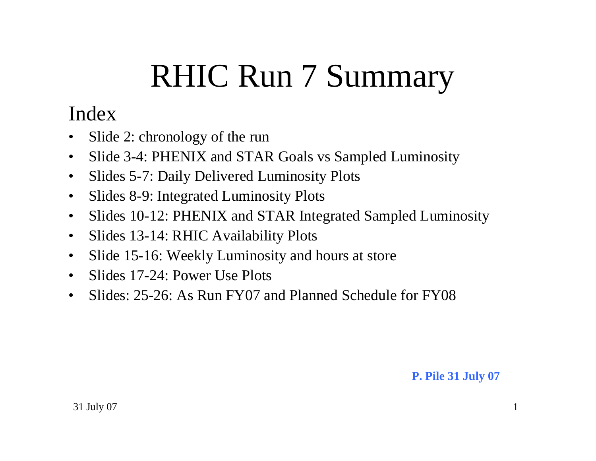# RHIC Run 7 Summary

## Index

- •Slide 2: chronology of the run
- •Slide 3-4: PHENIX and STAR Goals vs Sampled Luminosity
- $\bullet$ Slides 5-7: Daily Delivered Luminosity Plots
- $\bullet$ Slides 8-9: Integrated Luminosity Plots
- $\bullet$ Slides 10-12: PHENIX and STAR Integrated Sampled Luminosity
- •Slides 13-14: RHIC Availability Plots
- $\bullet$ Slide 15-16: Weekly Luminosity and hours at store
- $\bullet$ Slides 17-24: Power Use Plots
- $\bullet$ Slides: 25-26: As Run FY07 and Planned Schedule for FY08

#### **P. Pile 31 July 07**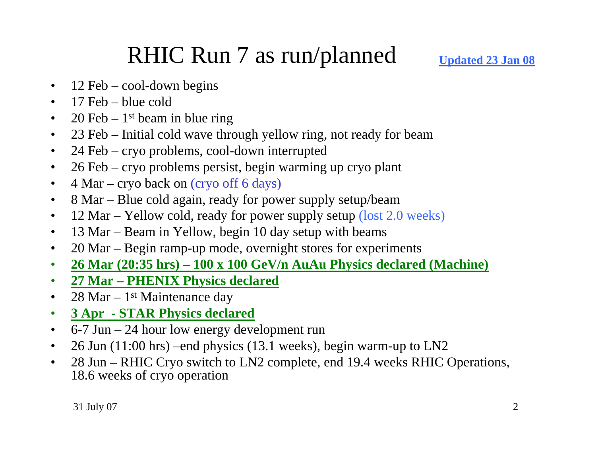# RHIC Run 7 as run/planned

- $\bullet$ 12 Feb – cool-down begins
- $\bullet$ 17 Feb – blue cold
- $\bullet$ 20 Feb –  $1<sup>st</sup>$  beam in blue ring
- $\bullet$ 23 Feb – Initial cold wave through yellow ring, not ready for beam
- $\bullet$ 24 Feb – cryo problems, cool-down interrupted
- $\bullet$ 26 Feb – cryo problems persist, begin warming up cryo plant
- $\bullet$ 4 Mar – cryo back on (cryo off 6 days)
- $\bullet$ 8 Mar – Blue cold again, ready for power supply setup/beam
- $\bullet$ 12 Mar – Yellow cold, ready for power supply setup (lost 2.0 weeks)
- $\bullet$ 13 Mar – Beam in Yellow, begin 10 day setup with beams
- $\bullet$ 20 Mar – Begin ramp-up mode, overnight stores for experiments
- $\bullet$ **26 Mar (20:35 hrs) – 100 x 100 GeV/n AuAu Physics declared (Machine)**
- •**27 Mar – PHENIX Physics declared**
- $\bullet$ 28 Mar –  $1<sup>st</sup>$  Maintenance day
- $\bullet$ **3 Apr - STAR Physics declared**
- $\bullet$ 6-7 Jun – 24 hour low energy development run
- $\bullet$ 26 Jun (11:00 hrs) –end physics (13.1 weeks), begin warm-up to LN2
- $\bullet$  28 Jun – RHIC Cryo switch to LN2 complete, end 19.4 weeks RHIC Operations, 18.6 weeks of cryo operation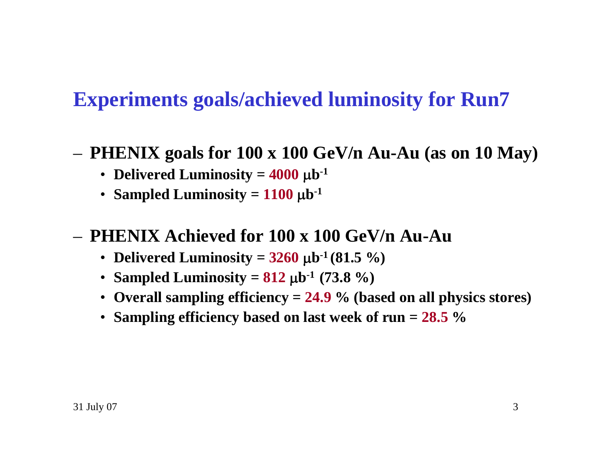# **Experiments goals/achieved luminosity for Run7**

- **PHENIX goals for 100 x 100 GeV/n Au-Au (as on 10 May)**
	- **Delivered Luminosity = 4000** μ**b-<sup>1</sup>**
	- **Sampled Luminosity = 1100** μ**b-<sup>1</sup>**

### – **PHENIX Achieved for 100 x 100 GeV/n Au-Au**

- **Delivered Luminosity = 3260** <sup>μ</sup>**b-1 (81.5 %)**
- **Sampled Luminosity = 812** <sup>μ</sup>**b-1 (73.8 %)**
- **Overall sampling efficiency = 24.9 % (based on all physics stores)**
- **Sampling efficiency based on last week of run = 28.5 %**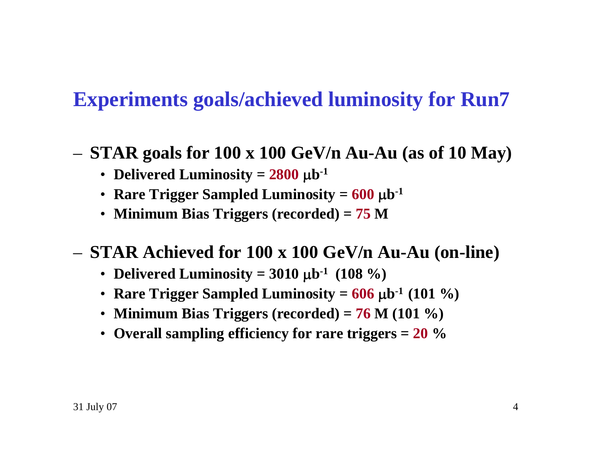# **Experiments goals/achieved luminosity for Run7**

- **STAR goals for 100 x 100 GeV/n Au-Au (as of 10 May)**
	- **Delivered Luminosity = 2800** μ**b-<sup>1</sup>**
	- **Rare Trigger Sampled Luminosity = 600** <sup>μ</sup>**b-<sup>1</sup>**
	- **Minimum Bias Triggers (recorded) = 75 M**
- **STAR Achieved for 100 x 100 GeV/n Au-Au (on-line)**
	- **Delivered Luminosity = 3010** <sup>μ</sup>**b-1 (108 %)**
	- **Rare Trigger Sampled Luminosity = 606** <sup>μ</sup>**b-1 (101 %)**
	- **Minimum Bias Triggers (recorded) = 76 M (101 %)**
	- **Overall sampling efficiency for rare triggers = 20 %**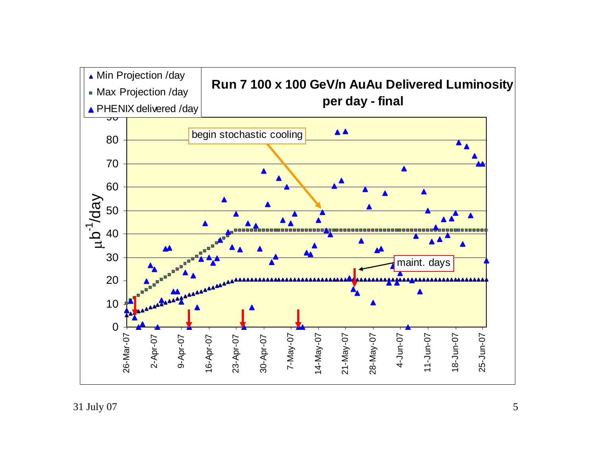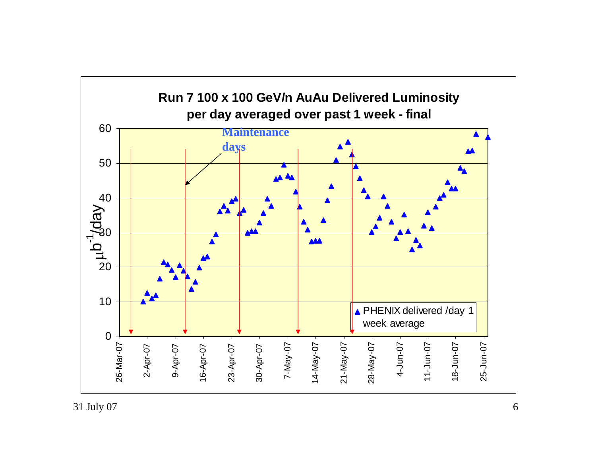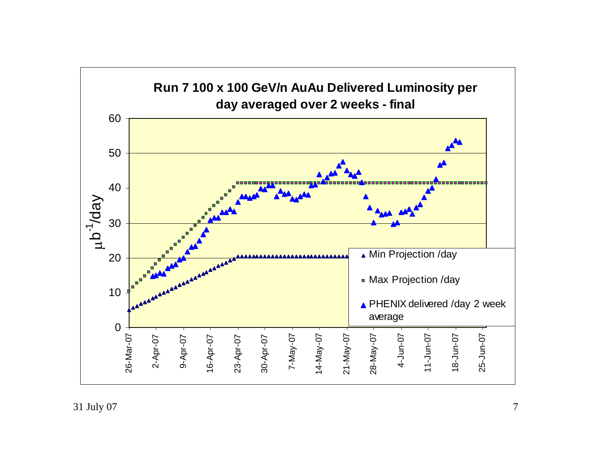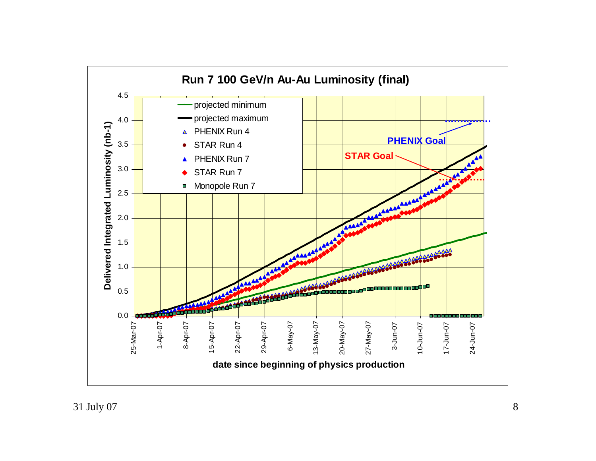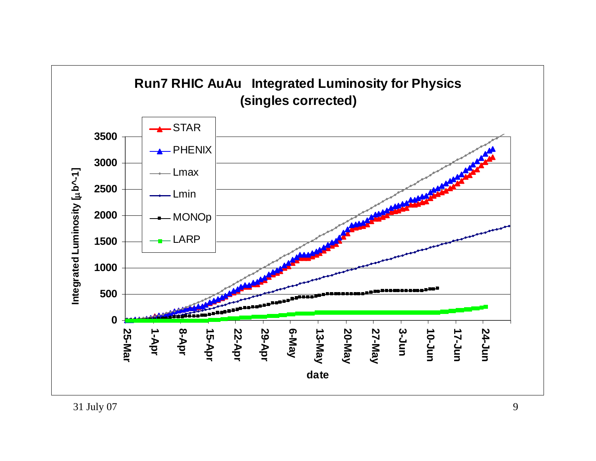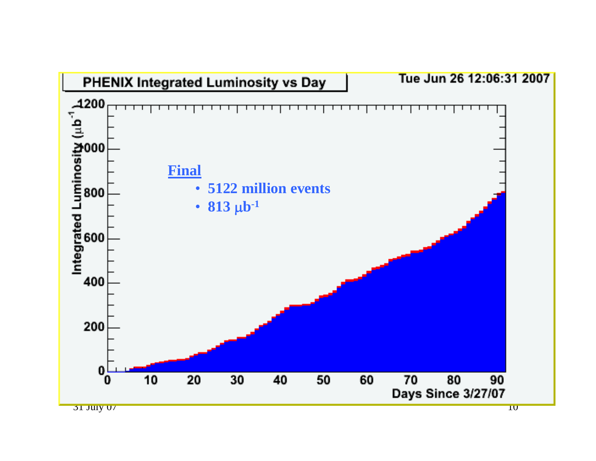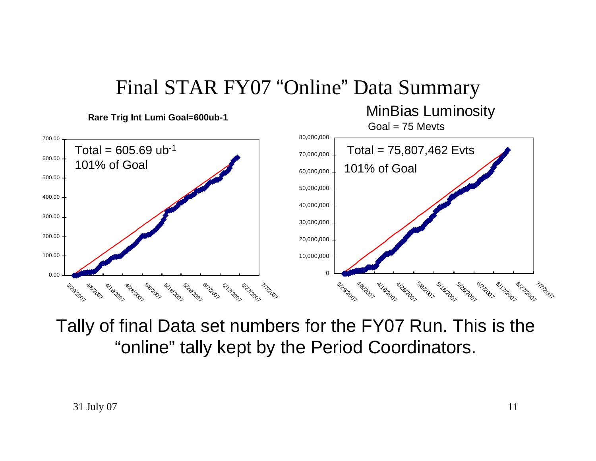

Tally of final Data set numbers for the FY07 Run. This is the "online" tally kept by the Period Coordinators.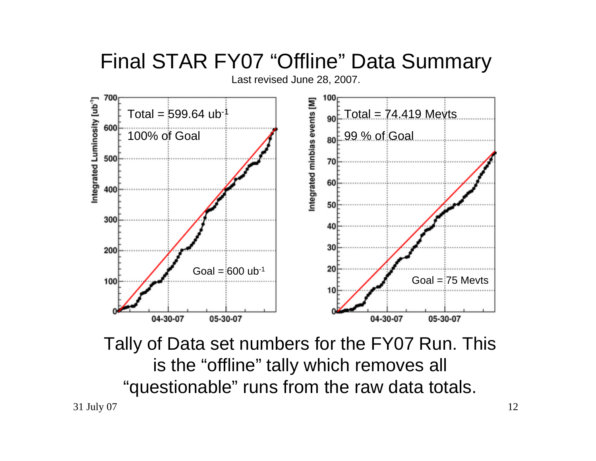

Tally of Data set numbers for the FY07 Run. This is the "offline" tally which removes all "questionable" runs from the raw data totals.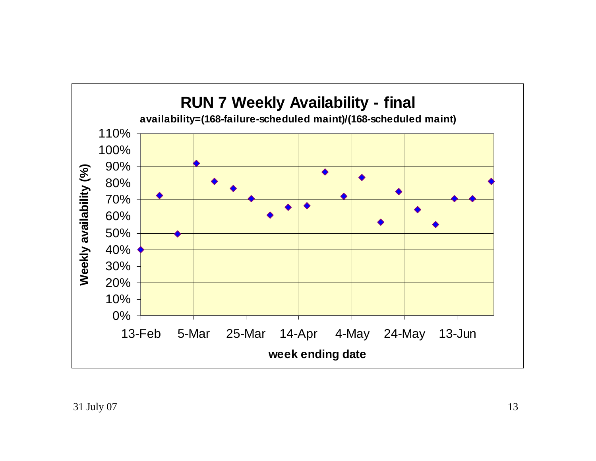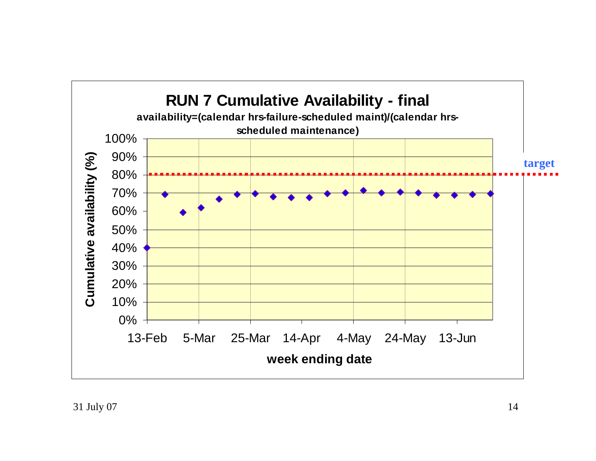![](_page_13_Figure_0.jpeg)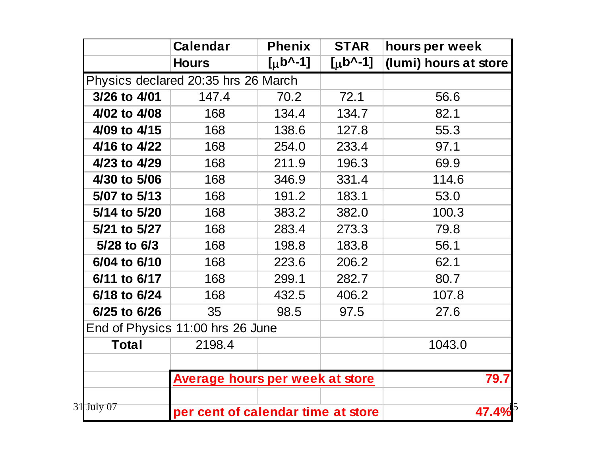|                 | <b>Calendar</b>                     | <b>Phenix</b>         | <b>STAR</b>   | hours per week        |
|-----------------|-------------------------------------|-----------------------|---------------|-----------------------|
|                 | <b>Hours</b>                        | $[\mu b^{\wedge -1}]$ | [ $\mu$ b^-1] | (lumi) hours at store |
|                 | Physics declared 20:35 hrs 26 March |                       |               |                       |
| 3/26 to 4/01    | 147.4                               | 70.2                  | 72.1          | 56.6                  |
| 4/02 to 4/08    | 168                                 | 134.4                 | 134.7         | 82.1                  |
| 4/09 to 4/15    | 168                                 | 138.6                 | 127.8         | 55.3                  |
| 4/16 to 4/22    | 168                                 | 254.0                 | 233.4         | 97.1                  |
| 4/23 to 4/29    | 168                                 | 211.9                 | 196.3         | 69.9                  |
| 4/30 to 5/06    | 168                                 | 346.9                 | 331.4         | 114.6                 |
| 5/07 to 5/13    | 168                                 | 191.2                 | 183.1         | 53.0                  |
| 5/14 to 5/20    | 168                                 | 383.2                 | 382.0         | 100.3                 |
| 5/21 to 5/27    | 168                                 | 283.4                 | 273.3         | 79.8                  |
| $5/28$ to $6/3$ | 168                                 | 198.8                 | 183.8         | 56.1                  |
| 6/04 to 6/10    | 168                                 | 223.6                 | 206.2         | 62.1                  |
| 6/11 to 6/17    | 168                                 | 299.1                 | 282.7         | 80.7                  |
| 6/18 to 6/24    | 168                                 | 432.5                 | 406.2         | 107.8                 |
| 6/25 to 6/26    | 35                                  | 98.5                  | 97.5          | 27.6                  |
|                 | End of Physics 11:00 hrs 26 June    |                       |               |                       |
| <b>Total</b>    | 2198.4                              |                       |               | 1043.0                |
|                 | Average hours per week at store     |                       | 79.7          |                       |
| 31 July 07      | per cent of calendar time at store  |                       |               | $47.4\%$              |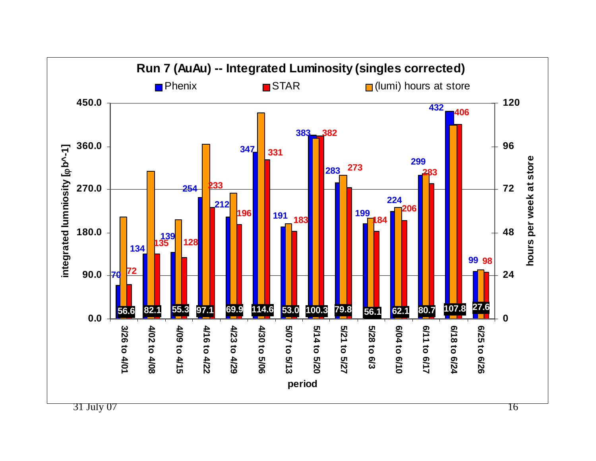![](_page_15_Figure_0.jpeg)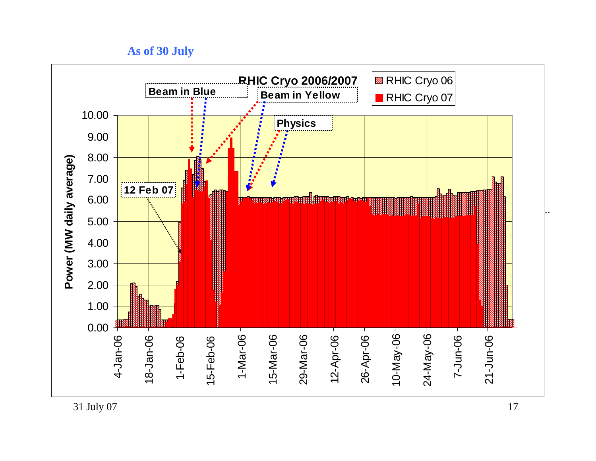**As of 30 July**

![](_page_16_Figure_1.jpeg)

 $31$  July 07  $17$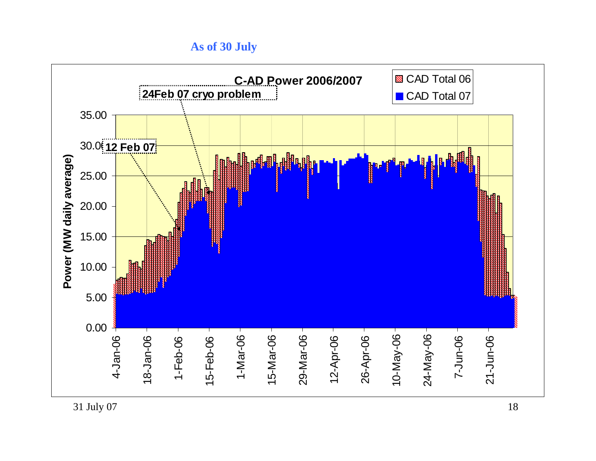**As of 30 July**

![](_page_17_Figure_1.jpeg)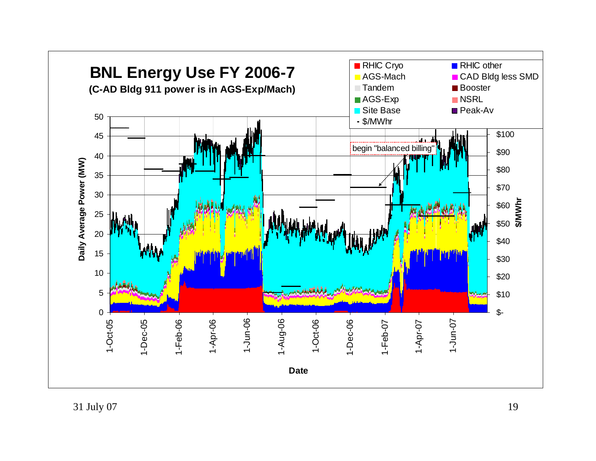![](_page_18_Figure_0.jpeg)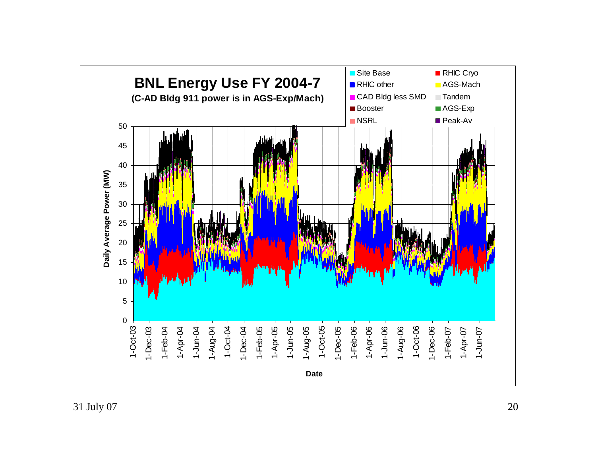![](_page_19_Figure_0.jpeg)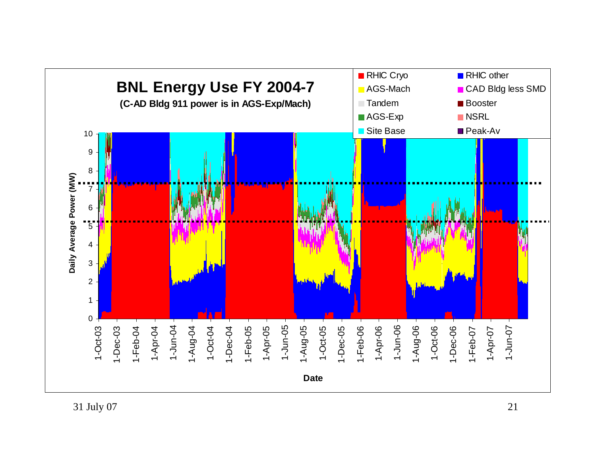![](_page_20_Figure_0.jpeg)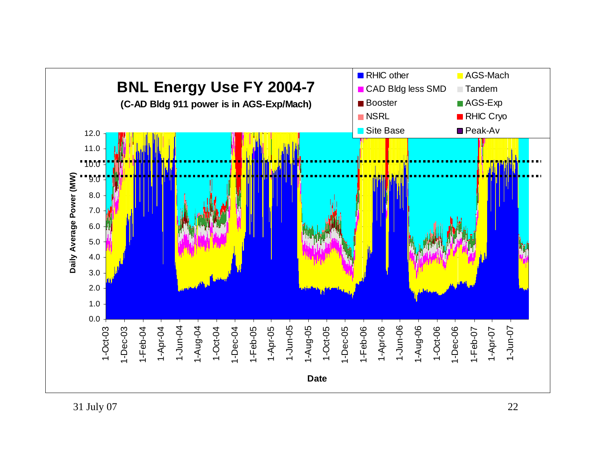![](_page_21_Figure_0.jpeg)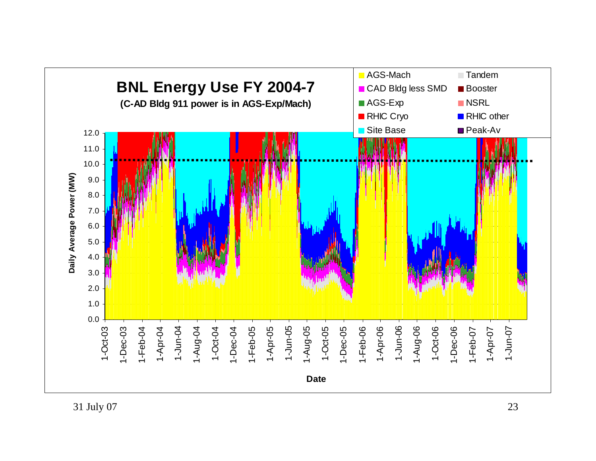![](_page_22_Figure_0.jpeg)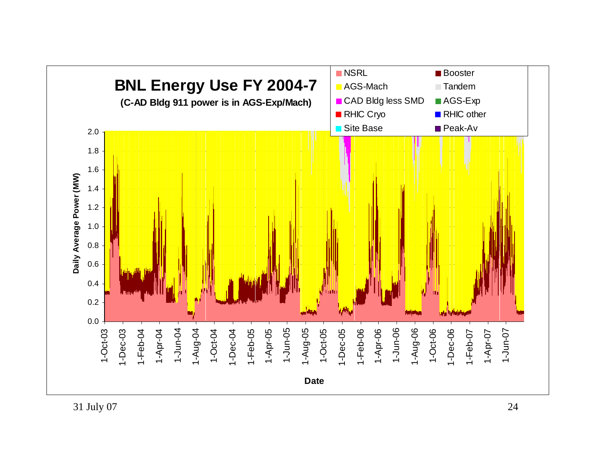![](_page_23_Figure_0.jpeg)

31 July 07 24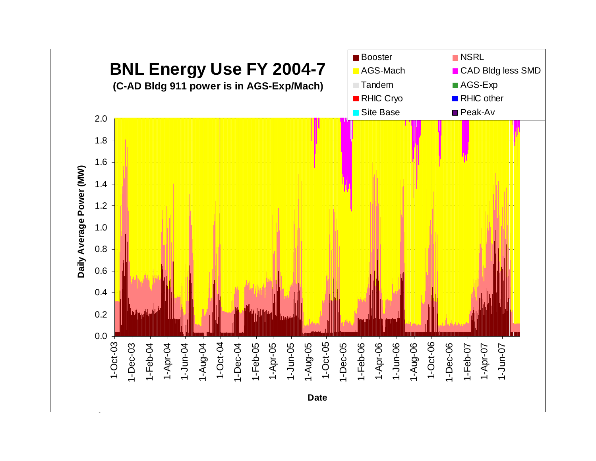![](_page_24_Figure_0.jpeg)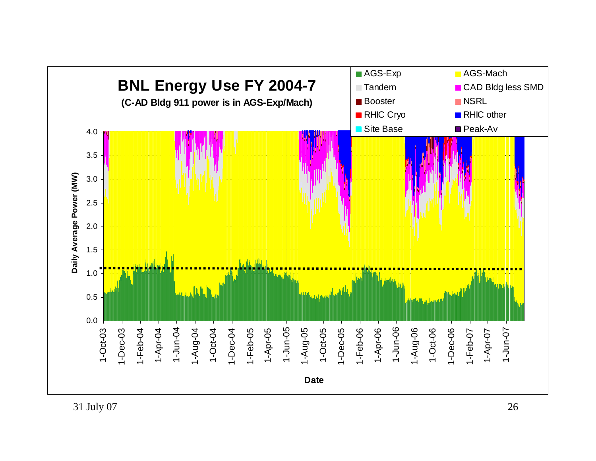![](_page_25_Figure_0.jpeg)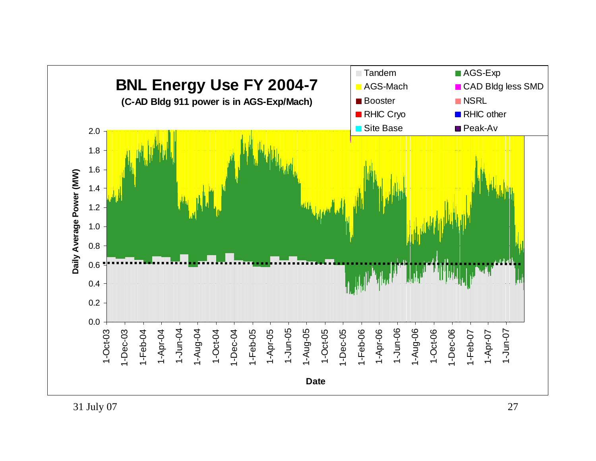![](_page_26_Figure_0.jpeg)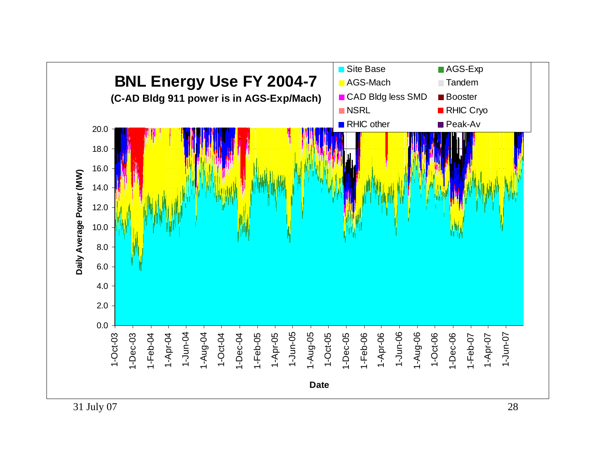![](_page_27_Figure_0.jpeg)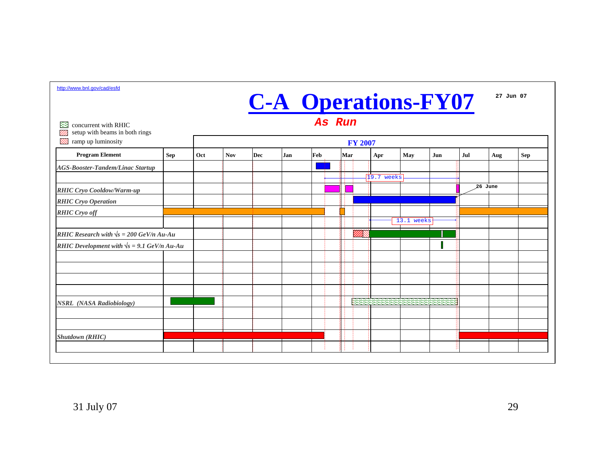| 83<br>concurrent with RHIC                           |            | As Run         |            |     |     |     |             |              |            |     |     |         |            |  |  |
|------------------------------------------------------|------------|----------------|------------|-----|-----|-----|-------------|--------------|------------|-----|-----|---------|------------|--|--|
| setup with beams in both rings<br>ramp up luminosity |            | <b>FY 2007</b> |            |     |     |     |             |              |            |     |     |         |            |  |  |
| <b>Program Element</b>                               | <b>Sep</b> | Oct            | <b>Nov</b> | Dec | Jan | Feb | Mar         | Apr          | May        | Jun | Jul | Aug     | <b>Sep</b> |  |  |
| <b>AGS-Booster-Tandem/Linac Startup</b>              |            |                |            |     |     |     |             |              |            |     |     |         |            |  |  |
|                                                      |            |                |            |     |     |     |             | $19.7$ weeks |            |     |     |         |            |  |  |
| <b>RHIC Cryo Cooldow/Warm-up</b>                     |            |                |            |     |     |     |             |              |            |     |     | 26 June |            |  |  |
| <b>RHIC Cryo Operation</b>                           |            |                |            |     |     |     |             |              |            |     |     |         |            |  |  |
| <b>RHIC Cryo off</b>                                 |            |                |            |     |     |     |             |              |            |     |     |         |            |  |  |
|                                                      |            |                |            |     |     |     |             |              | 13.1 weeks |     |     |         |            |  |  |
| RHIC Research with $\sqrt{s} = 200$ GeV/n Au-Au      |            |                |            |     |     |     | <u>Mill</u> |              |            |     |     |         |            |  |  |
| RHIC Development with $\sqrt{s}$ = 9.1 GeV/n Au-Au   |            |                |            |     |     |     |             |              |            |     |     |         |            |  |  |
|                                                      |            |                |            |     |     |     |             |              |            |     |     |         |            |  |  |
|                                                      |            |                |            |     |     |     |             |              |            |     |     |         |            |  |  |
|                                                      |            |                |            |     |     |     |             |              |            |     |     |         |            |  |  |
|                                                      |            |                |            |     |     |     |             |              |            |     |     |         |            |  |  |
| <b>NSRL</b> (NASA Radiobiology)                      |            |                |            |     |     |     |             |              |            |     |     |         |            |  |  |
|                                                      |            |                |            |     |     |     |             |              |            |     |     |         |            |  |  |
|                                                      |            |                |            |     |     |     |             |              |            |     |     |         |            |  |  |